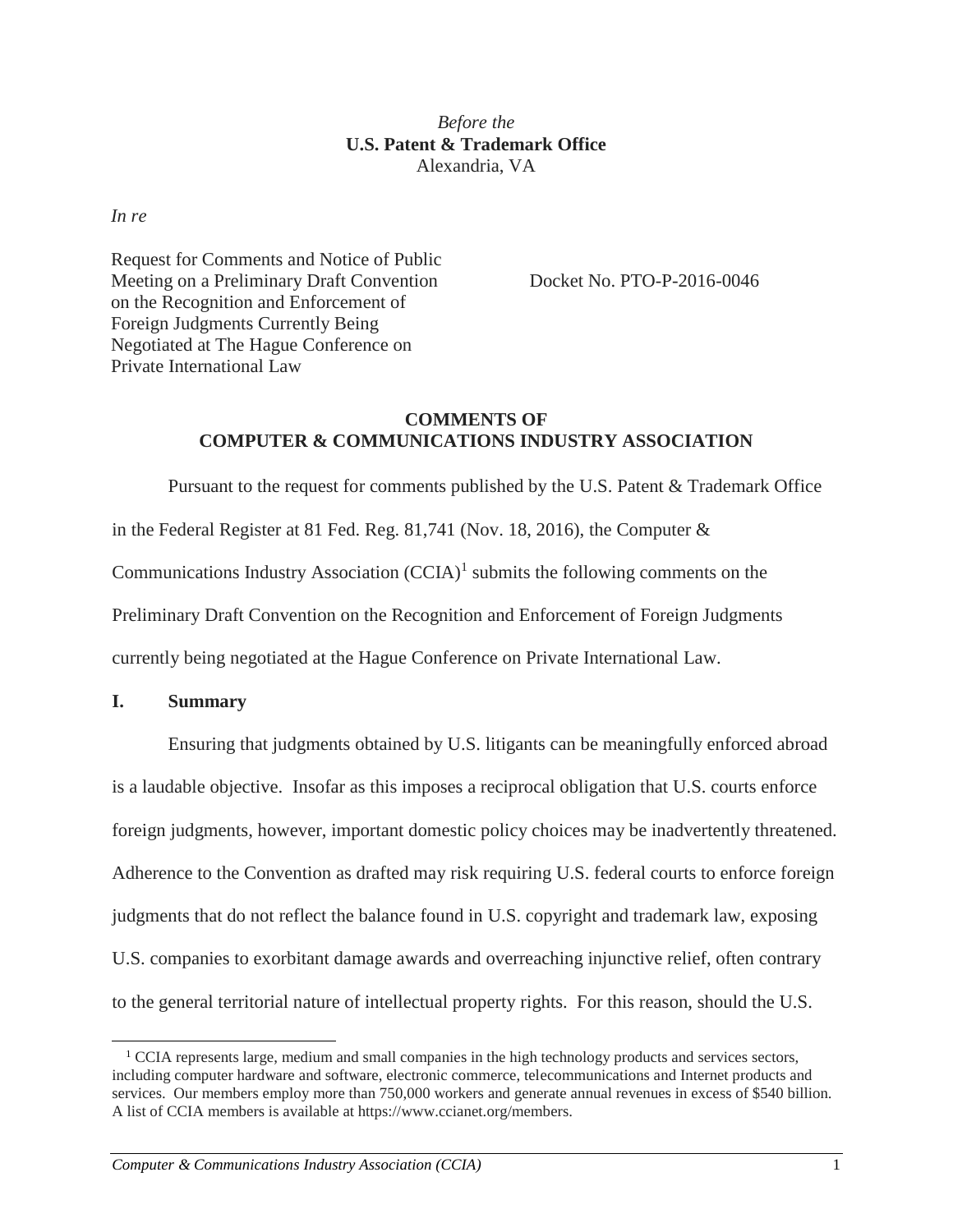# *Before the* **U.S. Patent & Trademark Office** Alexandria, VA

*In re*

Request for Comments and Notice of Public Meeting on a Preliminary Draft Convention on the Recognition and Enforcement of Foreign Judgments Currently Being Negotiated at The Hague Conference on Private International Law

Docket No. PTO-P-2016-0046

# **COMMENTS OF COMPUTER & COMMUNICATIONS INDUSTRY ASSOCIATION**

Pursuant to the request for comments published by the U.S. Patent & Trademark Office in the Federal Register at 81 Fed. Reg. 81,741 (Nov. 18, 2016), the Computer & Communications Industry Association  $(CCIA)^1$  submits the following comments on the Preliminary Draft Convention on the Recognition and Enforcement of Foreign Judgments currently being negotiated at the Hague Conference on Private International Law.

# **I. Summary**

Ensuring that judgments obtained by U.S. litigants can be meaningfully enforced abroad is a laudable objective. Insofar as this imposes a reciprocal obligation that U.S. courts enforce foreign judgments, however, important domestic policy choices may be inadvertently threatened. Adherence to the Convention as drafted may risk requiring U.S. federal courts to enforce foreign judgments that do not reflect the balance found in U.S. copyright and trademark law, exposing U.S. companies to exorbitant damage awards and overreaching injunctive relief, often contrary to the general territorial nature of intellectual property rights. For this reason, should the U.S.

  $1$  CCIA represents large, medium and small companies in the high technology products and services sectors, including computer hardware and software, electronic commerce, telecommunications and Internet products and services. Our members employ more than 750,000 workers and generate annual revenues in excess of \$540 billion. A list of CCIA members is available at https://www.ccianet.org/members.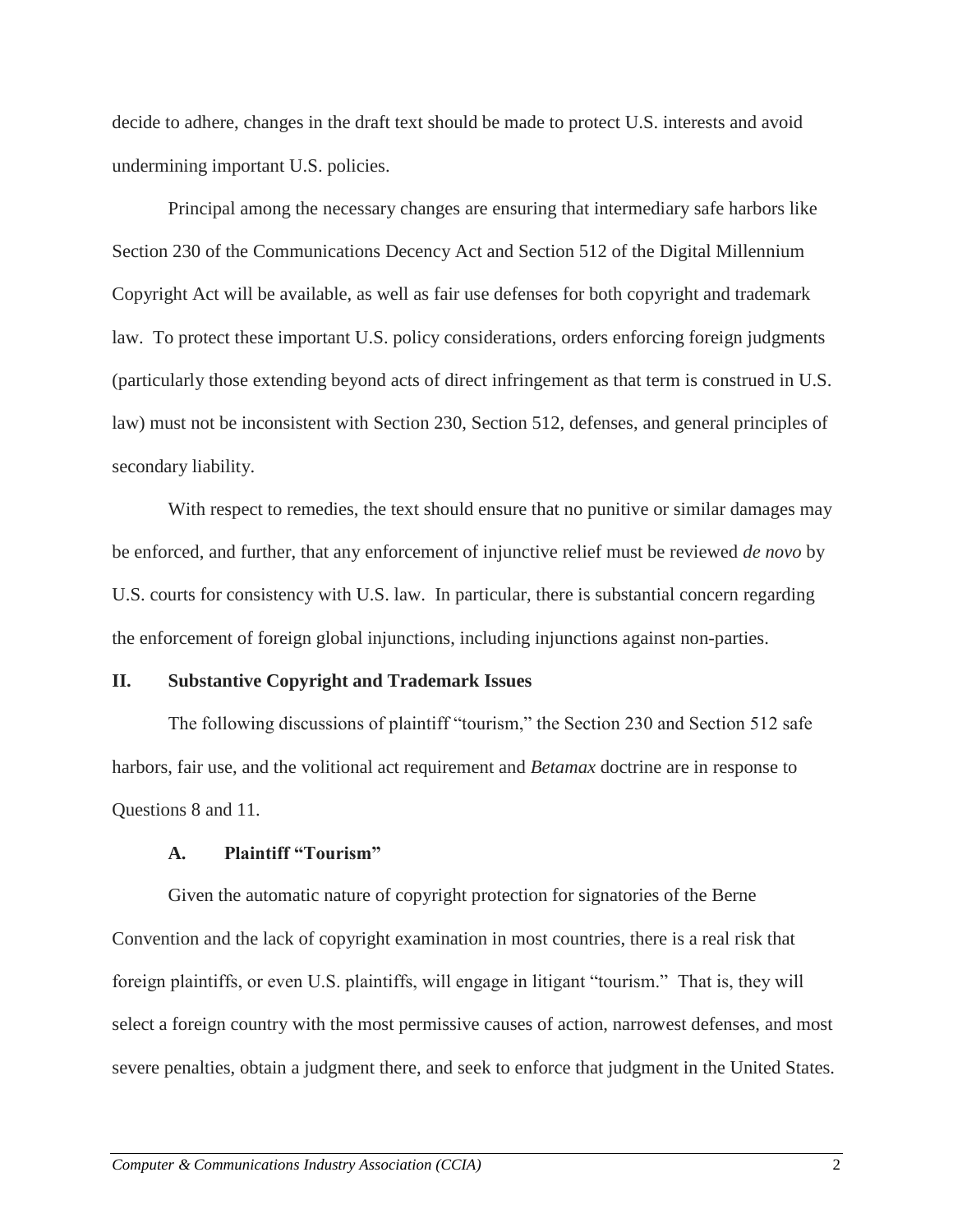decide to adhere, changes in the draft text should be made to protect U.S. interests and avoid undermining important U.S. policies.

Principal among the necessary changes are ensuring that intermediary safe harbors like Section 230 of the Communications Decency Act and Section 512 of the Digital Millennium Copyright Act will be available, as well as fair use defenses for both copyright and trademark law. To protect these important U.S. policy considerations, orders enforcing foreign judgments (particularly those extending beyond acts of direct infringement as that term is construed in U.S. law) must not be inconsistent with Section 230, Section 512, defenses, and general principles of secondary liability.

With respect to remedies, the text should ensure that no punitive or similar damages may be enforced, and further, that any enforcement of injunctive relief must be reviewed *de novo* by U.S. courts for consistency with U.S. law. In particular, there is substantial concern regarding the enforcement of foreign global injunctions, including injunctions against non-parties.

# **II. Substantive Copyright and Trademark Issues**

The following discussions of plaintiff "tourism," the Section 230 and Section 512 safe harbors, fair use, and the volitional act requirement and *Betamax* doctrine are in response to Questions 8 and 11.

#### **A. Plaintiff "Tourism"**

Given the automatic nature of copyright protection for signatories of the Berne Convention and the lack of copyright examination in most countries, there is a real risk that foreign plaintiffs, or even U.S. plaintiffs, will engage in litigant "tourism." That is, they will select a foreign country with the most permissive causes of action, narrowest defenses, and most severe penalties, obtain a judgment there, and seek to enforce that judgment in the United States.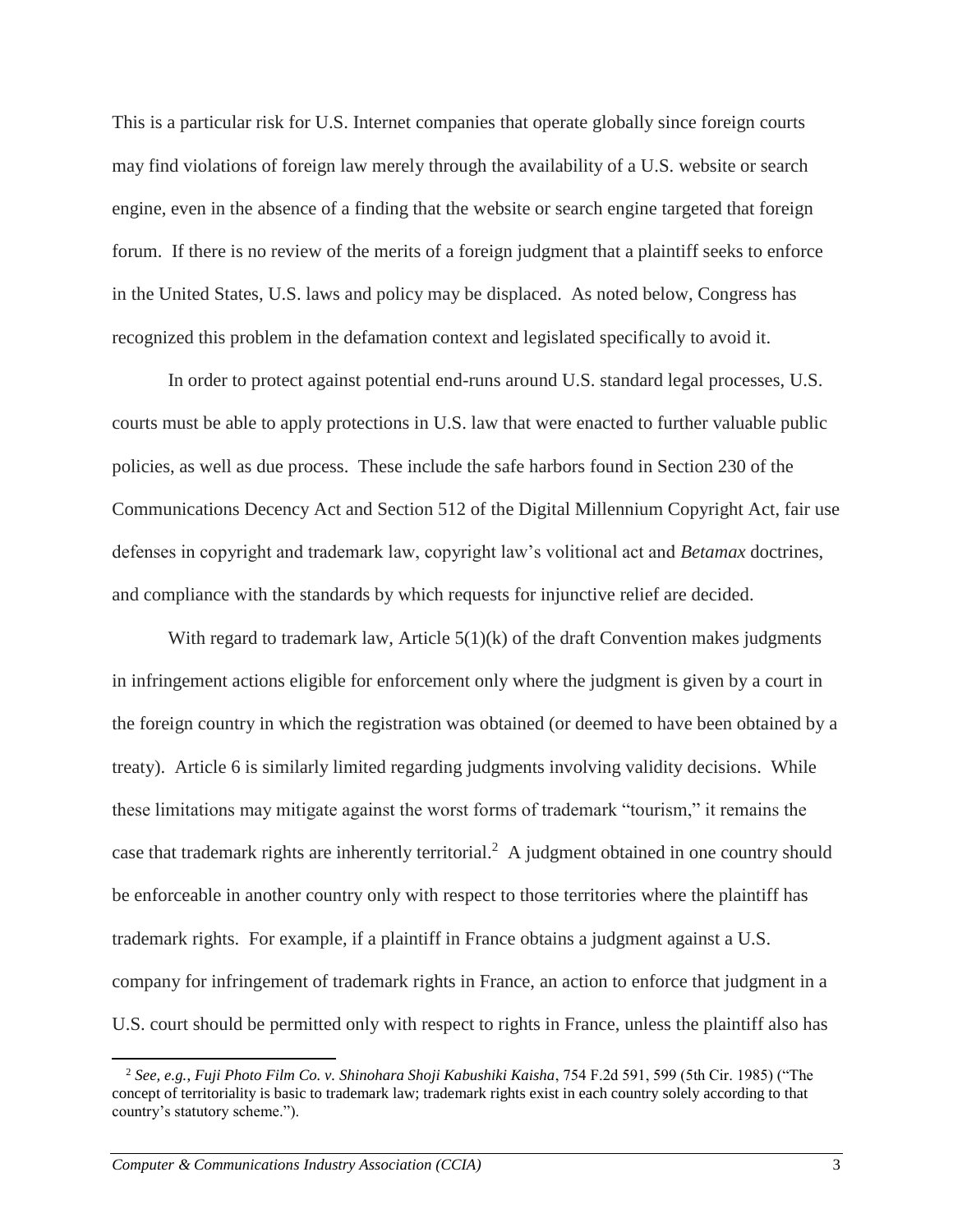This is a particular risk for U.S. Internet companies that operate globally since foreign courts may find violations of foreign law merely through the availability of a U.S. website or search engine, even in the absence of a finding that the website or search engine targeted that foreign forum. If there is no review of the merits of a foreign judgment that a plaintiff seeks to enforce in the United States, U.S. laws and policy may be displaced. As noted below, Congress has recognized this problem in the defamation context and legislated specifically to avoid it.

In order to protect against potential end-runs around U.S. standard legal processes, U.S. courts must be able to apply protections in U.S. law that were enacted to further valuable public policies, as well as due process. These include the safe harbors found in Section 230 of the Communications Decency Act and Section 512 of the Digital Millennium Copyright Act, fair use defenses in copyright and trademark law, copyright law's volitional act and *Betamax* doctrines, and compliance with the standards by which requests for injunctive relief are decided.

With regard to trademark law, Article  $5(1)(k)$  of the draft Convention makes judgments in infringement actions eligible for enforcement only where the judgment is given by a court in the foreign country in which the registration was obtained (or deemed to have been obtained by a treaty). Article 6 is similarly limited regarding judgments involving validity decisions. While these limitations may mitigate against the worst forms of trademark "tourism," it remains the case that trademark rights are inherently territorial.<sup>2</sup> A judgment obtained in one country should be enforceable in another country only with respect to those territories where the plaintiff has trademark rights. For example, if a plaintiff in France obtains a judgment against a U.S. company for infringement of trademark rights in France, an action to enforce that judgment in a U.S. court should be permitted only with respect to rights in France, unless the plaintiff also has

<sup>2</sup> *See, e.g.*, *Fuji Photo Film Co. v. Shinohara Shoji Kabushiki Kaisha*, 754 F.2d 591, 599 (5th Cir. 1985) ("The concept of territoriality is basic to trademark law; trademark rights exist in each country solely according to that country's statutory scheme.").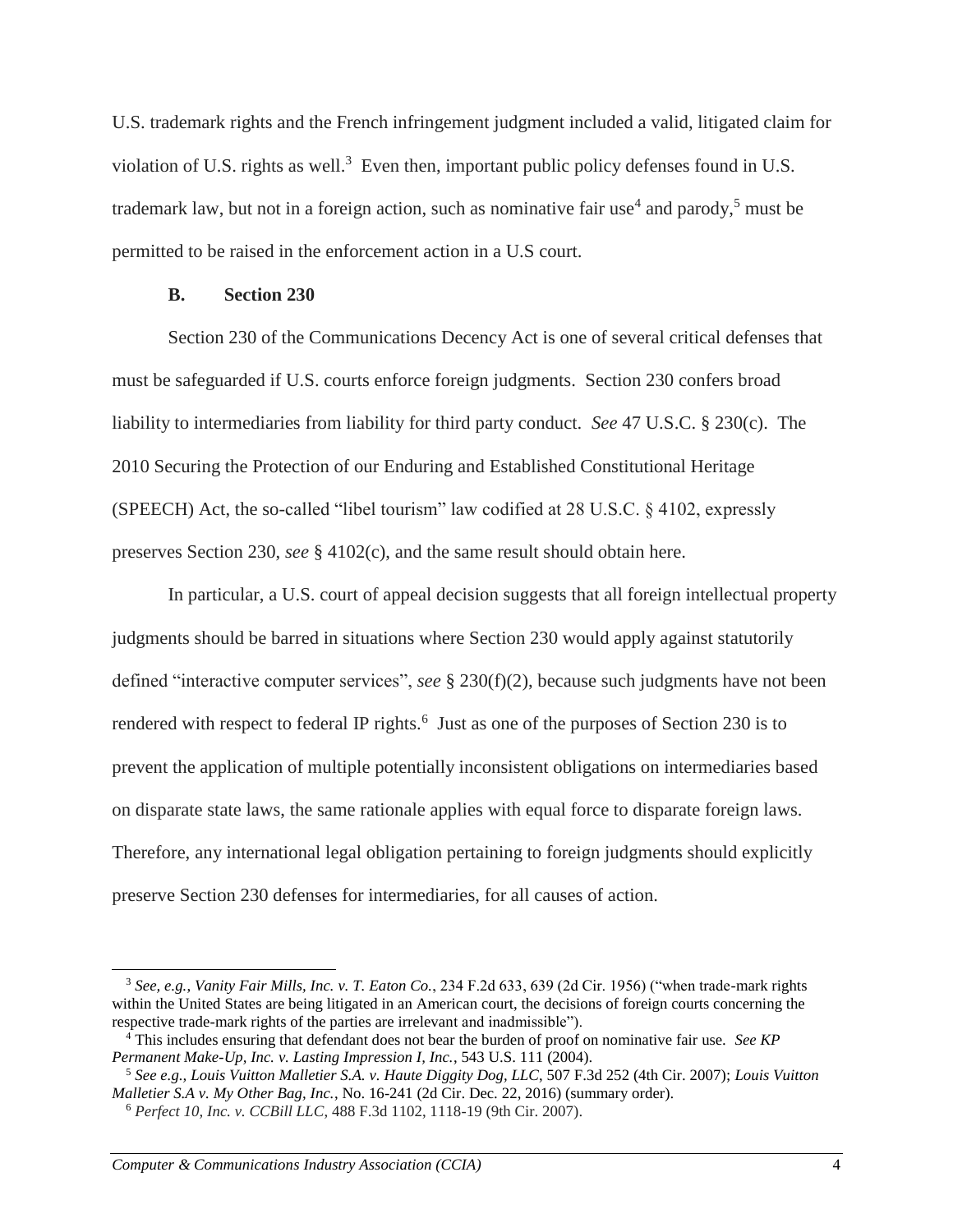U.S. trademark rights and the French infringement judgment included a valid, litigated claim for violation of U.S. rights as well.<sup>3</sup> Even then, important public policy defenses found in U.S. trademark law, but not in a foreign action, such as nominative fair use<sup>4</sup> and parody,<sup>5</sup> must be permitted to be raised in the enforcement action in a U.S court.

#### **B. Section 230**

Section 230 of the Communications Decency Act is one of several critical defenses that must be safeguarded if U.S. courts enforce foreign judgments. Section 230 confers broad liability to intermediaries from liability for third party conduct. *See* 47 U.S.C. § 230(c). The 2010 Securing the Protection of our Enduring and Established Constitutional Heritage (SPEECH) Act, the so-called "libel tourism" law codified at 28 U.S.C. § 4102, expressly preserves Section 230, *see* § 4102(c), and the same result should obtain here.

In particular, a U.S. court of appeal decision suggests that all foreign intellectual property judgments should be barred in situations where Section 230 would apply against statutorily defined "interactive computer services", *see* § 230(f)(2), because such judgments have not been rendered with respect to federal IP rights.<sup>6</sup> Just as one of the purposes of Section 230 is to prevent the application of multiple potentially inconsistent obligations on intermediaries based on disparate state laws, the same rationale applies with equal force to disparate foreign laws. Therefore, any international legal obligation pertaining to foreign judgments should explicitly preserve Section 230 defenses for intermediaries, for all causes of action.

<sup>3</sup> *See, e.g.*, *Vanity Fair Mills, Inc. v. T. Eaton Co.*, 234 F.2d 633, 639 (2d Cir. 1956) ("when trade-mark rights within the United States are being litigated in an American court, the decisions of foreign courts concerning the respective trade-mark rights of the parties are irrelevant and inadmissible").

<sup>4</sup> This includes ensuring that defendant does not bear the burden of proof on nominative fair use. *See KP Permanent Make-Up, Inc. v. Lasting Impression I, Inc.*, 543 U.S. 111 (2004).

<sup>5</sup> *See e.g., Louis Vuitton Malletier S.A. v. Haute Diggity Dog, LLC*, 507 F.3d 252 (4th Cir. 2007); *Louis Vuitton Malletier S.A v. My Other Bag, Inc.*, No. 16-241 (2d Cir. Dec. 22, 2016) (summary order).

<sup>6</sup> *Perfect 10, Inc. v. CCBill LLC*, 488 F.3d 1102, 1118-19 (9th Cir. 2007).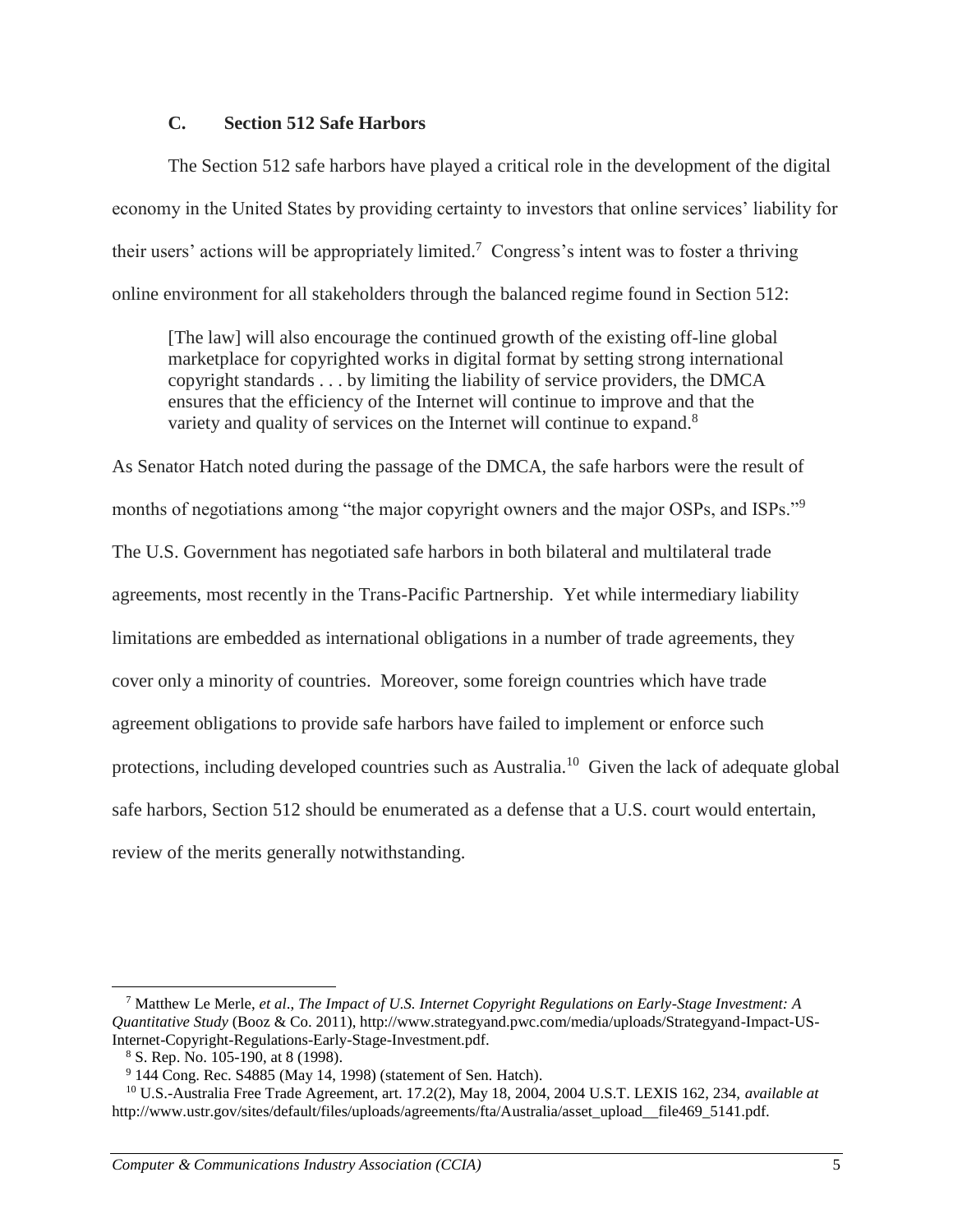## **C. Section 512 Safe Harbors**

The Section 512 safe harbors have played a critical role in the development of the digital economy in the United States by providing certainty to investors that online services' liability for their users' actions will be appropriately limited.<sup>7</sup> Congress's intent was to foster a thriving online environment for all stakeholders through the balanced regime found in Section 512:

[The law] will also encourage the continued growth of the existing off-line global marketplace for copyrighted works in digital format by setting strong international copyright standards . . . by limiting the liability of service providers, the DMCA ensures that the efficiency of the Internet will continue to improve and that the variety and quality of services on the Internet will continue to expand.<sup>8</sup>

As Senator Hatch noted during the passage of the DMCA, the safe harbors were the result of months of negotiations among "the major copyright owners and the major OSPs, and ISPs."<sup>9</sup> The U.S. Government has negotiated safe harbors in both bilateral and multilateral trade agreements, most recently in the Trans-Pacific Partnership. Yet while intermediary liability limitations are embedded as international obligations in a number of trade agreements, they cover only a minority of countries. Moreover, some foreign countries which have trade agreement obligations to provide safe harbors have failed to implement or enforce such protections, including developed countries such as Australia.<sup>10</sup> Given the lack of adequate global safe harbors, Section 512 should be enumerated as a defense that a U.S. court would entertain, review of the merits generally notwithstanding.

<sup>7</sup> Matthew Le Merle, *et al*., *The Impact of U.S. Internet Copyright Regulations on Early-Stage Investment: A Quantitative Study* (Booz & Co. 2011), http://www.strategyand.pwc.com/media/uploads/Strategyand-Impact-US-Internet-Copyright-Regulations-Early-Stage-Investment.pdf.

<sup>8</sup> S. Rep. No. 105-190, at 8 (1998).

<sup>9</sup> 144 Cong. Rec. S4885 (May 14, 1998) (statement of Sen. Hatch).

<sup>10</sup> U.S.-Australia Free Trade Agreement, art. 17.2(2), May 18, 2004, 2004 U.S.T. LEXIS 162, 234, *available at* http://www.ustr.gov/sites/default/files/uploads/agreements/fta/Australia/asset\_upload\_\_file469\_5141.pdf.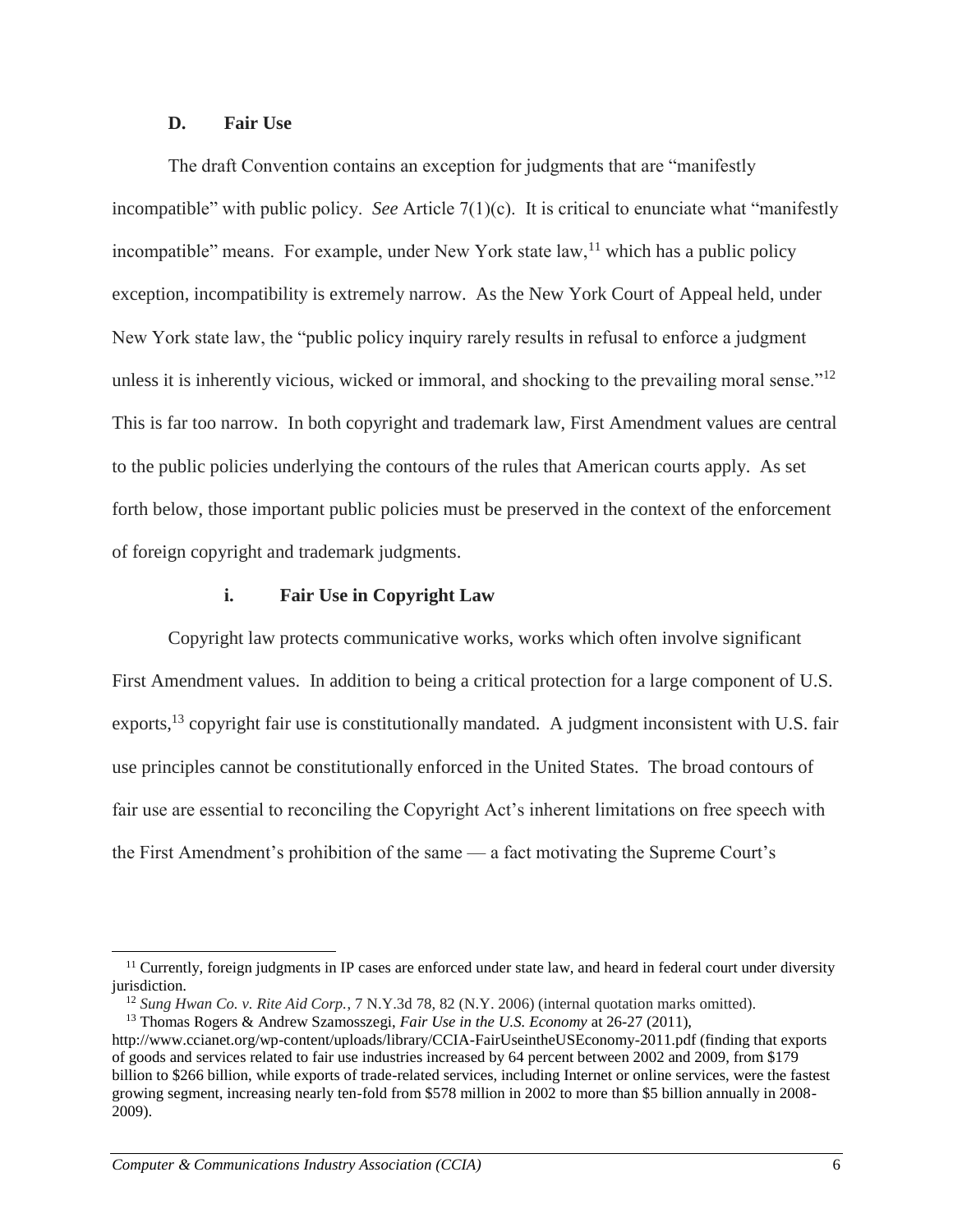### **D. Fair Use**

The draft Convention contains an exception for judgments that are "manifestly incompatible" with public policy. *See* Article 7(1)(c). It is critical to enunciate what "manifestly incompatible" means. For example, under New York state  $law$ ,  $l^1$  which has a public policy exception, incompatibility is extremely narrow. As the New York Court of Appeal held, under New York state law, the "public policy inquiry rarely results in refusal to enforce a judgment unless it is inherently vicious, wicked or immoral, and shocking to the prevailing moral sense."<sup>12</sup> This is far too narrow. In both copyright and trademark law, First Amendment values are central to the public policies underlying the contours of the rules that American courts apply. As set forth below, those important public policies must be preserved in the context of the enforcement of foreign copyright and trademark judgments.

### **i. Fair Use in Copyright Law**

Copyright law protects communicative works, works which often involve significant First Amendment values. In addition to being a critical protection for a large component of U.S. exports,<sup>13</sup> copyright fair use is constitutionally mandated. A judgment inconsistent with U.S. fair use principles cannot be constitutionally enforced in the United States. The broad contours of fair use are essential to reconciling the Copyright Act's inherent limitations on free speech with the First Amendment's prohibition of the same — a fact motivating the Supreme Court's

<sup>&</sup>lt;sup>11</sup> Currently, foreign judgments in IP cases are enforced under state law, and heard in federal court under diversity jurisdiction.

<sup>12</sup> *Sung Hwan Co. v. Rite Aid Corp.*, 7 N.Y.3d 78, 82 (N.Y. 2006) (internal quotation marks omitted).

<sup>13</sup> Thomas Rogers & Andrew Szamosszegi, *Fair Use in the U.S. Economy* at 26-27 (2011),

http://www.ccianet.org/wp-content/uploads/library/CCIA-FairUseintheUSEconomy-2011.pdf (finding that exports of goods and services related to fair use industries increased by 64 percent between 2002 and 2009, from \$179 billion to \$266 billion, while exports of trade-related services, including Internet or online services, were the fastest growing segment, increasing nearly ten-fold from \$578 million in 2002 to more than \$5 billion annually in 2008- 2009).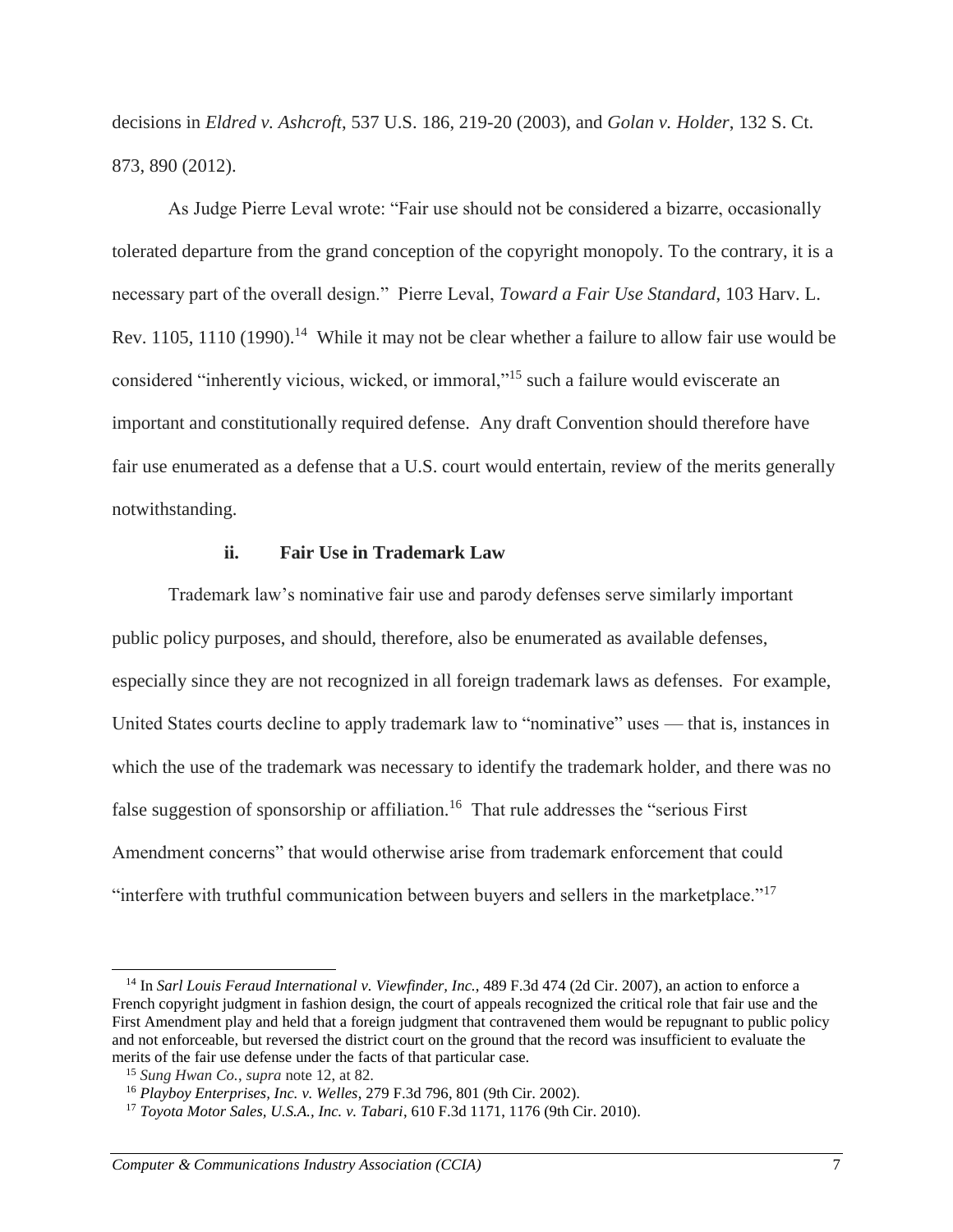decisions in *Eldred v. Ashcroft*, 537 U.S. 186, 219-20 (2003), and *Golan v. Holder*, 132 S. Ct. 873, 890 (2012).

As Judge Pierre Leval wrote: "Fair use should not be considered a bizarre, occasionally tolerated departure from the grand conception of the copyright monopoly. To the contrary, it is a necessary part of the overall design." Pierre Leval, *Toward a Fair Use Standard*, 103 Harv. L. Rev. 1105, 1110 (1990).<sup>14</sup> While it may not be clear whether a failure to allow fair use would be considered "inherently vicious, wicked, or immoral,"<sup>15</sup> such a failure would eviscerate an important and constitutionally required defense. Any draft Convention should therefore have fair use enumerated as a defense that a U.S. court would entertain, review of the merits generally notwithstanding.

### **ii. Fair Use in Trademark Law**

Trademark law's nominative fair use and parody defenses serve similarly important public policy purposes, and should, therefore, also be enumerated as available defenses, especially since they are not recognized in all foreign trademark laws as defenses. For example, United States courts decline to apply trademark law to "nominative" uses — that is, instances in which the use of the trademark was necessary to identify the trademark holder, and there was no false suggestion of sponsorship or affiliation.<sup>16</sup> That rule addresses the "serious First Amendment concerns" that would otherwise arise from trademark enforcement that could "interfere with truthful communication between buyers and sellers in the marketplace."<sup>17</sup>

<sup>14</sup> In *Sarl Louis Feraud International v. Viewfinder, Inc.*, 489 F.3d 474 (2d Cir. 2007), an action to enforce a French copyright judgment in fashion design, the court of appeals recognized the critical role that fair use and the First Amendment play and held that a foreign judgment that contravened them would be repugnant to public policy and not enforceable, but reversed the district court on the ground that the record was insufficient to evaluate the merits of the fair use defense under the facts of that particular case.

<sup>15</sup> *Sung Hwan Co.*, *supra* note 12, at 82.

<sup>16</sup> *Playboy Enterprises, Inc. v. Welles*, 279 F.3d 796, 801 (9th Cir. 2002).

<sup>17</sup> *Toyota Motor Sales, U.S.A., Inc. v. Tabari*, 610 F.3d 1171, 1176 (9th Cir. 2010).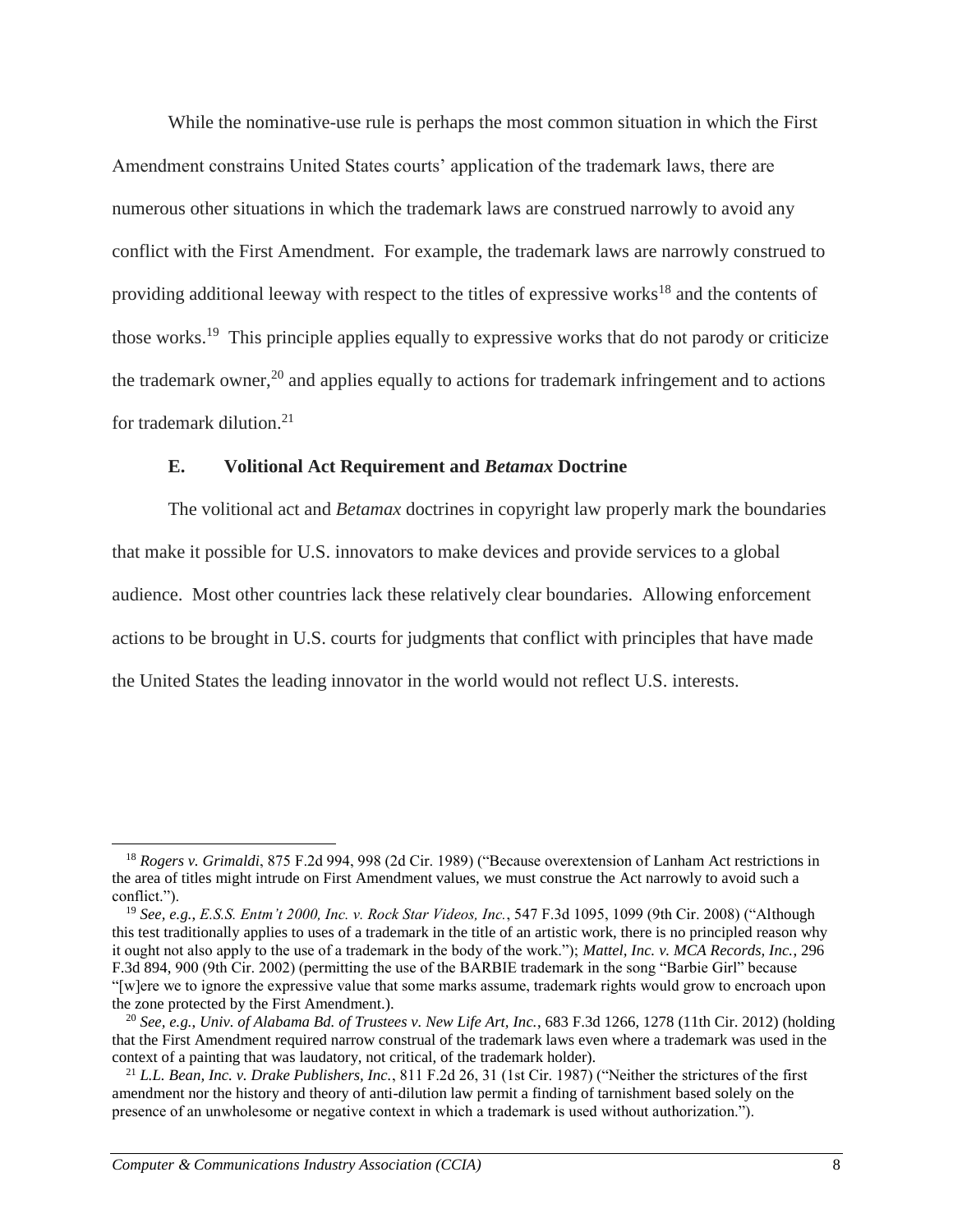While the nominative-use rule is perhaps the most common situation in which the First Amendment constrains United States courts' application of the trademark laws, there are numerous other situations in which the trademark laws are construed narrowly to avoid any conflict with the First Amendment. For example, the trademark laws are narrowly construed to providing additional leeway with respect to the titles of expressive works<sup>18</sup> and the contents of those works.<sup>19</sup> This principle applies equally to expressive works that do not parody or criticize the trademark owner,<sup>20</sup> and applies equally to actions for trademark infringement and to actions for trademark dilution.<sup>21</sup>

### **E. Volitional Act Requirement and** *Betamax* **Doctrine**

The volitional act and *Betamax* doctrines in copyright law properly mark the boundaries that make it possible for U.S. innovators to make devices and provide services to a global audience. Most other countries lack these relatively clear boundaries. Allowing enforcement actions to be brought in U.S. courts for judgments that conflict with principles that have made the United States the leading innovator in the world would not reflect U.S. interests.

<sup>18</sup> *Rogers v. Grimaldi*, 875 F.2d 994, 998 (2d Cir. 1989) ("Because overextension of Lanham Act restrictions in the area of titles might intrude on First Amendment values, we must construe the Act narrowly to avoid such a conflict.").

<sup>19</sup> *See, e.g.*, *E.S.S. Entm't 2000, Inc. v. Rock Star Videos, Inc.*, 547 F.3d 1095, 1099 (9th Cir. 2008) ("Although this test traditionally applies to uses of a trademark in the title of an artistic work, there is no principled reason why it ought not also apply to the use of a trademark in the body of the work."); *Mattel, Inc. v. MCA Records, Inc.*, 296 F.3d 894, 900 (9th Cir. 2002) (permitting the use of the BARBIE trademark in the song "Barbie Girl" because "[w]ere we to ignore the expressive value that some marks assume, trademark rights would grow to encroach upon the zone protected by the First Amendment.).

<sup>20</sup> *See, e.g.*, *Univ. of Alabama Bd. of Trustees v. New Life Art, Inc.*, 683 F.3d 1266, 1278 (11th Cir. 2012) (holding that the First Amendment required narrow construal of the trademark laws even where a trademark was used in the context of a painting that was laudatory, not critical, of the trademark holder).

<sup>21</sup> *L.L. Bean, Inc. v. Drake Publishers, Inc.*, 811 F.2d 26, 31 (1st Cir. 1987) ("Neither the strictures of the first amendment nor the history and theory of anti-dilution law permit a finding of tarnishment based solely on the presence of an unwholesome or negative context in which a trademark is used without authorization.").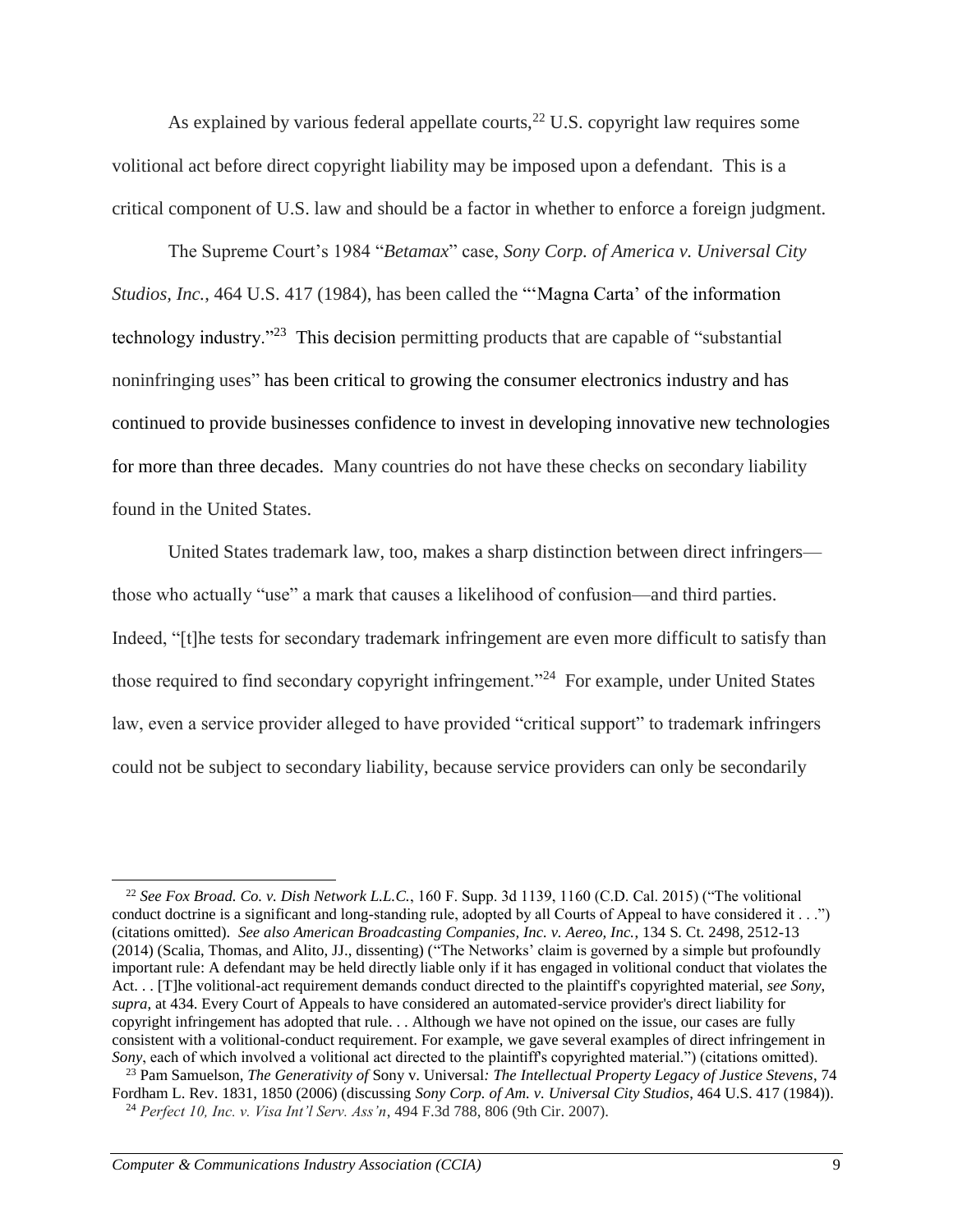As explained by various federal appellate courts,  $^{22}$  U.S. copyright law requires some volitional act before direct copyright liability may be imposed upon a defendant. This is a critical component of U.S. law and should be a factor in whether to enforce a foreign judgment.

The Supreme Court's 1984 "*Betamax*" case, *Sony Corp. of America v. Universal City Studios, Inc.*, 464 U.S. 417 (1984), has been called the "'Magna Carta' of the information technology industry."<sup>23</sup> This decision permitting products that are capable of "substantial" noninfringing uses" has been critical to growing the consumer electronics industry and has continued to provide businesses confidence to invest in developing innovative new technologies for more than three decades. Many countries do not have these checks on secondary liability found in the United States.

United States trademark law, too, makes a sharp distinction between direct infringers those who actually "use" a mark that causes a likelihood of confusion—and third parties. Indeed, "[t]he tests for secondary trademark infringement are even more difficult to satisfy than those required to find secondary copyright infringement."<sup>24</sup> For example, under United States law, even a service provider alleged to have provided "critical support" to trademark infringers could not be subject to secondary liability, because service providers can only be secondarily

<sup>22</sup> *See Fox Broad. Co. v. Dish Network L.L.C.*, 160 F. Supp. 3d 1139, 1160 (C.D. Cal. 2015) ("The volitional conduct doctrine is a significant and long-standing rule, adopted by all Courts of Appeal to have considered it . . .") (citations omitted). *See also American Broadcasting Companies, Inc. v. Aereo, Inc.*, 134 S. Ct. 2498, 2512-13 (2014) (Scalia, Thomas, and Alito, JJ., dissenting) ("The Networks' claim is governed by a simple but profoundly important rule: A defendant may be held directly liable only if it has engaged in volitional conduct that violates the Act. . . [T]he volitional-act requirement demands conduct directed to the plaintiff's copyrighted material, *see Sony*, *supra*, at 434. Every Court of Appeals to have considered an automated-service provider's direct liability for copyright infringement has adopted that rule. . . Although we have not opined on the issue, our cases are fully consistent with a volitional-conduct requirement. For example, we gave several examples of direct infringement in *Sony*, each of which involved a volitional act directed to the plaintiff's copyrighted material.") (citations omitted).

<sup>23</sup> Pam Samuelson, *The Generativity of* Sony v. Universal*: The Intellectual Property Legacy of Justice Stevens*, 74 Fordham L. Rev. 1831, 1850 (2006) (discussing *Sony Corp. of Am. v. Universal City Studios*, 464 U.S. 417 (1984)). <sup>24</sup> *Perfect 10, Inc. v. Visa Int'l Serv. Ass'n*, 494 F.3d 788, 806 (9th Cir. 2007).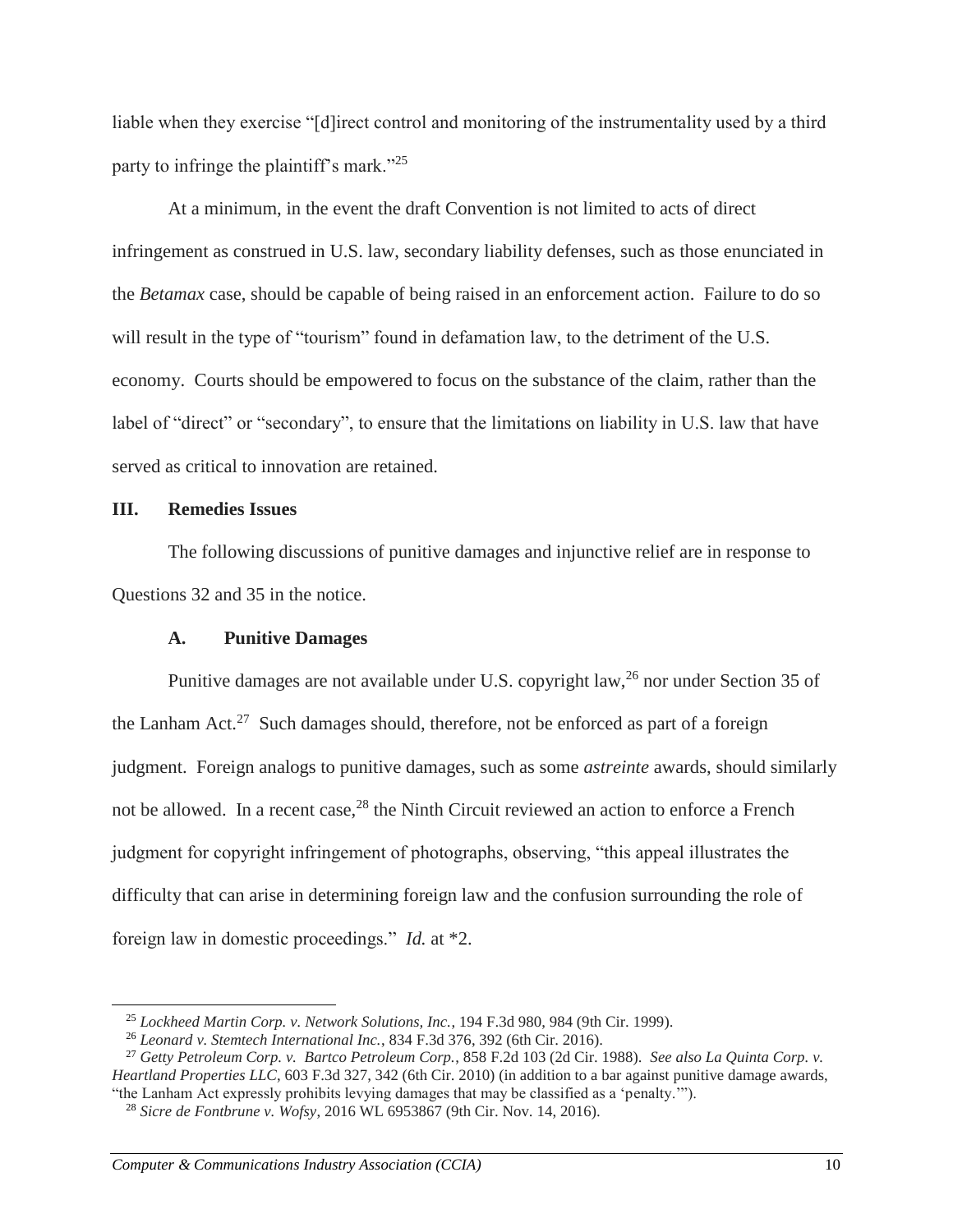liable when they exercise "[d]irect control and monitoring of the instrumentality used by a third party to infringe the plaintiff's mark."<sup>25</sup>

At a minimum, in the event the draft Convention is not limited to acts of direct infringement as construed in U.S. law, secondary liability defenses, such as those enunciated in the *Betamax* case, should be capable of being raised in an enforcement action. Failure to do so will result in the type of "tourism" found in defamation law, to the detriment of the U.S. economy. Courts should be empowered to focus on the substance of the claim, rather than the label of "direct" or "secondary", to ensure that the limitations on liability in U.S. law that have served as critical to innovation are retained.

### **III. Remedies Issues**

 $\overline{a}$ 

The following discussions of punitive damages and injunctive relief are in response to Questions 32 and 35 in the notice.

### **A. Punitive Damages**

Punitive damages are not available under U.S. copyright law,<sup>26</sup> nor under Section 35 of the Lanham Act.<sup>27</sup> Such damages should, therefore, not be enforced as part of a foreign judgment. Foreign analogs to punitive damages, such as some *astreinte* awards, should similarly not be allowed. In a recent case,  $28$  the Ninth Circuit reviewed an action to enforce a French judgment for copyright infringement of photographs, observing, "this appeal illustrates the difficulty that can arise in determining foreign law and the confusion surrounding the role of foreign law in domestic proceedings." *Id.* at \*2.

<sup>25</sup> *Lockheed Martin Corp. v. Network Solutions, Inc.*, 194 F.3d 980, 984 (9th Cir. 1999).

<sup>26</sup> *Leonard v. Stemtech International Inc.*, 834 F.3d 376, 392 (6th Cir. 2016).

<sup>27</sup> *Getty Petroleum Corp. v. Bartco Petroleum Corp.*, 858 F.2d 103 (2d Cir. 1988). *See also La Quinta Corp. v. Heartland Properties LLC*, 603 F.3d 327, 342 (6th Cir. 2010) (in addition to a bar against punitive damage awards, "the Lanham Act expressly prohibits levying damages that may be classified as a 'penalty.'").

<sup>28</sup> *Sicre de Fontbrune v. Wofsy*, 2016 WL 6953867 (9th Cir. Nov. 14, 2016).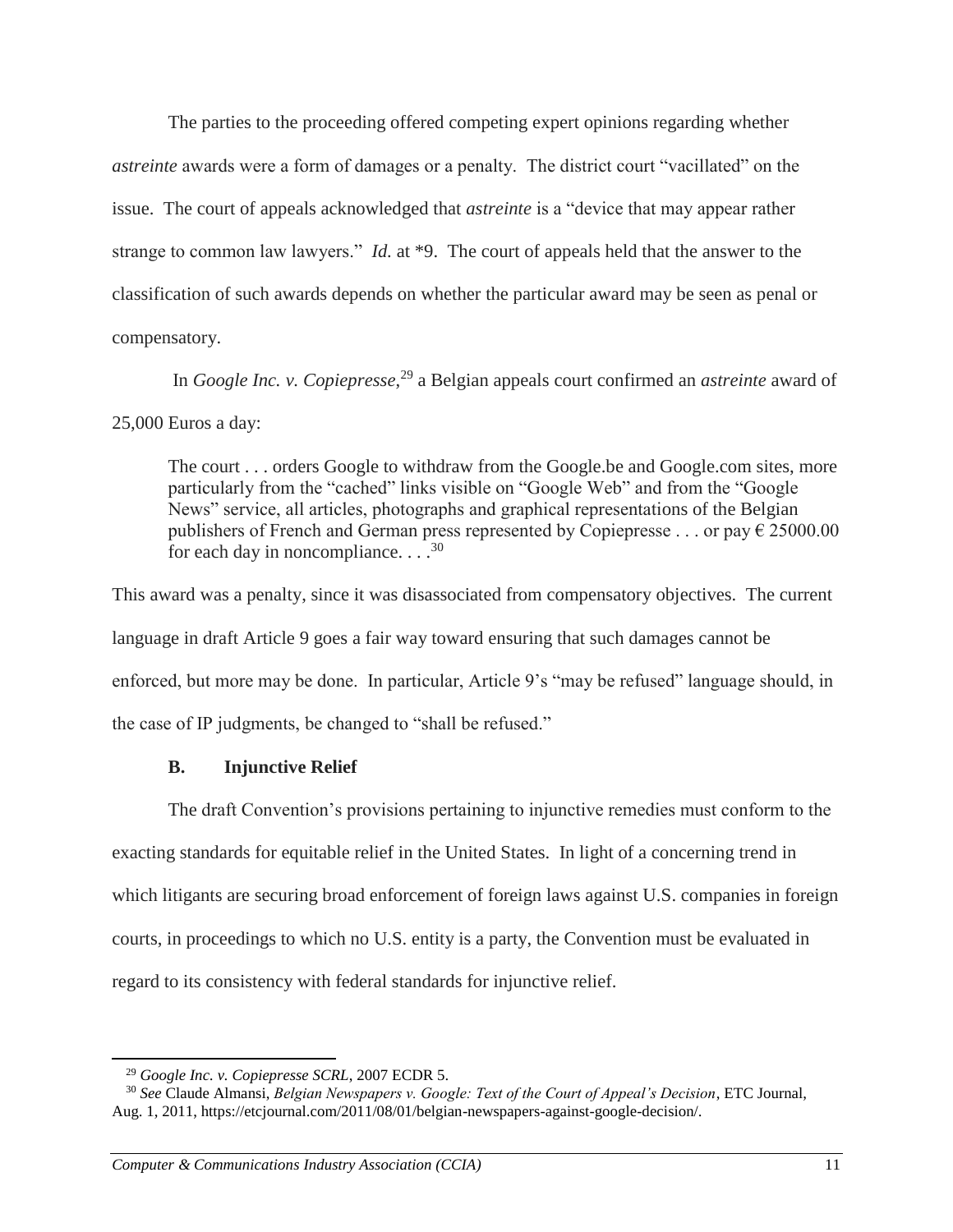The parties to the proceeding offered competing expert opinions regarding whether *astreinte* awards were a form of damages or a penalty. The district court "vacillated" on the issue. The court of appeals acknowledged that *astreinte* is a "device that may appear rather strange to common law lawyers." *Id.* at \*9. The court of appeals held that the answer to the classification of such awards depends on whether the particular award may be seen as penal or compensatory.

In *Google Inc. v. Copiepresse*, <sup>29</sup> a Belgian appeals court confirmed an *astreinte* award of 25,000 Euros a day:

The court . . . orders Google to withdraw from the Google.be and Google.com sites, more particularly from the "cached" links visible on "Google Web" and from the "Google News" service, all articles, photographs and graphical representations of the Belgian publishers of French and German press represented by Copiepresse . . . or pay  $\epsilon$  25000.00 for each day in noncompliance.  $\ldots$ <sup>30</sup>

This award was a penalty, since it was disassociated from compensatory objectives. The current language in draft Article 9 goes a fair way toward ensuring that such damages cannot be enforced, but more may be done. In particular, Article 9's "may be refused" language should, in the case of IP judgments, be changed to "shall be refused."

# **B. Injunctive Relief**

The draft Convention's provisions pertaining to injunctive remedies must conform to the exacting standards for equitable relief in the United States. In light of a concerning trend in which litigants are securing broad enforcement of foreign laws against U.S. companies in foreign courts, in proceedings to which no U.S. entity is a party, the Convention must be evaluated in regard to its consistency with federal standards for injunctive relief.

<sup>29</sup> *Google Inc. v. Copiepresse SCRL*, 2007 ECDR 5.

<sup>30</sup> *See* Claude Almansi, *Belgian Newspapers v. Google: Text of the Court of Appeal's Decision*, ETC Journal, Aug. 1, 2011, https://etcjournal.com/2011/08/01/belgian-newspapers-against-google-decision/.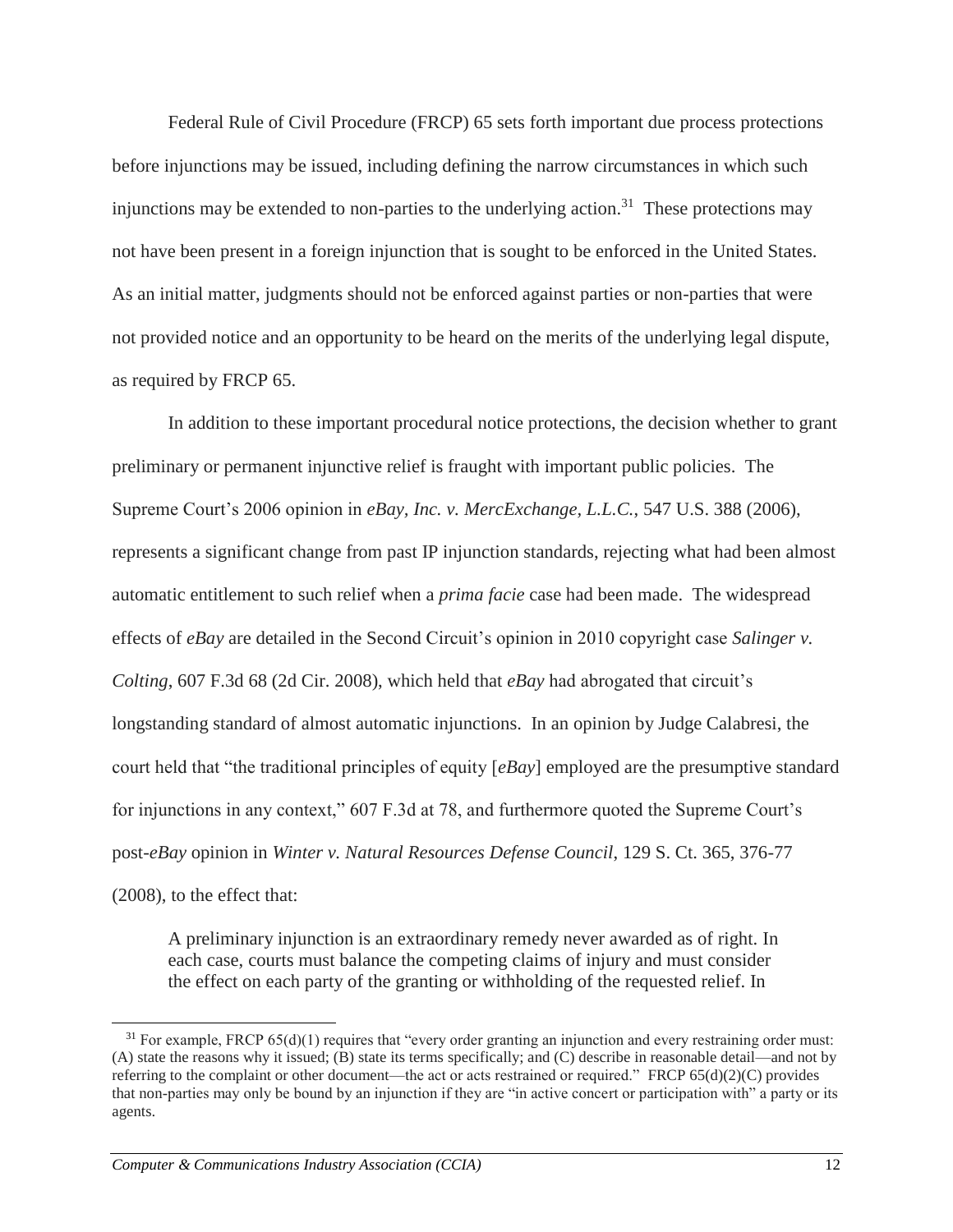Federal Rule of Civil Procedure (FRCP) 65 sets forth important due process protections before injunctions may be issued, including defining the narrow circumstances in which such injunctions may be extended to non-parties to the underlying action.<sup>31</sup> These protections may not have been present in a foreign injunction that is sought to be enforced in the United States. As an initial matter, judgments should not be enforced against parties or non-parties that were not provided notice and an opportunity to be heard on the merits of the underlying legal dispute, as required by FRCP 65.

In addition to these important procedural notice protections, the decision whether to grant preliminary or permanent injunctive relief is fraught with important public policies. The Supreme Court's 2006 opinion in *eBay, Inc. v. MercExchange, L.L.C.*, 547 U.S. 388 (2006), represents a significant change from past IP injunction standards, rejecting what had been almost automatic entitlement to such relief when a *prima facie* case had been made. The widespread effects of *eBay* are detailed in the Second Circuit's opinion in 2010 copyright case *Salinger v. Colting*, 607 F.3d 68 (2d Cir. 2008), which held that *eBay* had abrogated that circuit's longstanding standard of almost automatic injunctions. In an opinion by Judge Calabresi, the court held that "the traditional principles of equity [*eBay*] employed are the presumptive standard for injunctions in any context," 607 F.3d at 78, and furthermore quoted the Supreme Court's post-*eBay* opinion in *Winter v. Natural Resources Defense Council*, 129 S. Ct. 365, 376-77 (2008), to the effect that:

A preliminary injunction is an extraordinary remedy never awarded as of right. In each case, courts must balance the competing claims of injury and must consider the effect on each party of the granting or withholding of the requested relief. In

 $31$  For example, FRCP 65(d)(1) requires that "every order granting an injunction and every restraining order must: (A) state the reasons why it issued; (B) state its terms specifically; and (C) describe in reasonable detail—and not by referring to the complaint or other document—the act or acts restrained or required." FRCP 65(d)(2)(C) provides that non-parties may only be bound by an injunction if they are "in active concert or participation with" a party or its agents.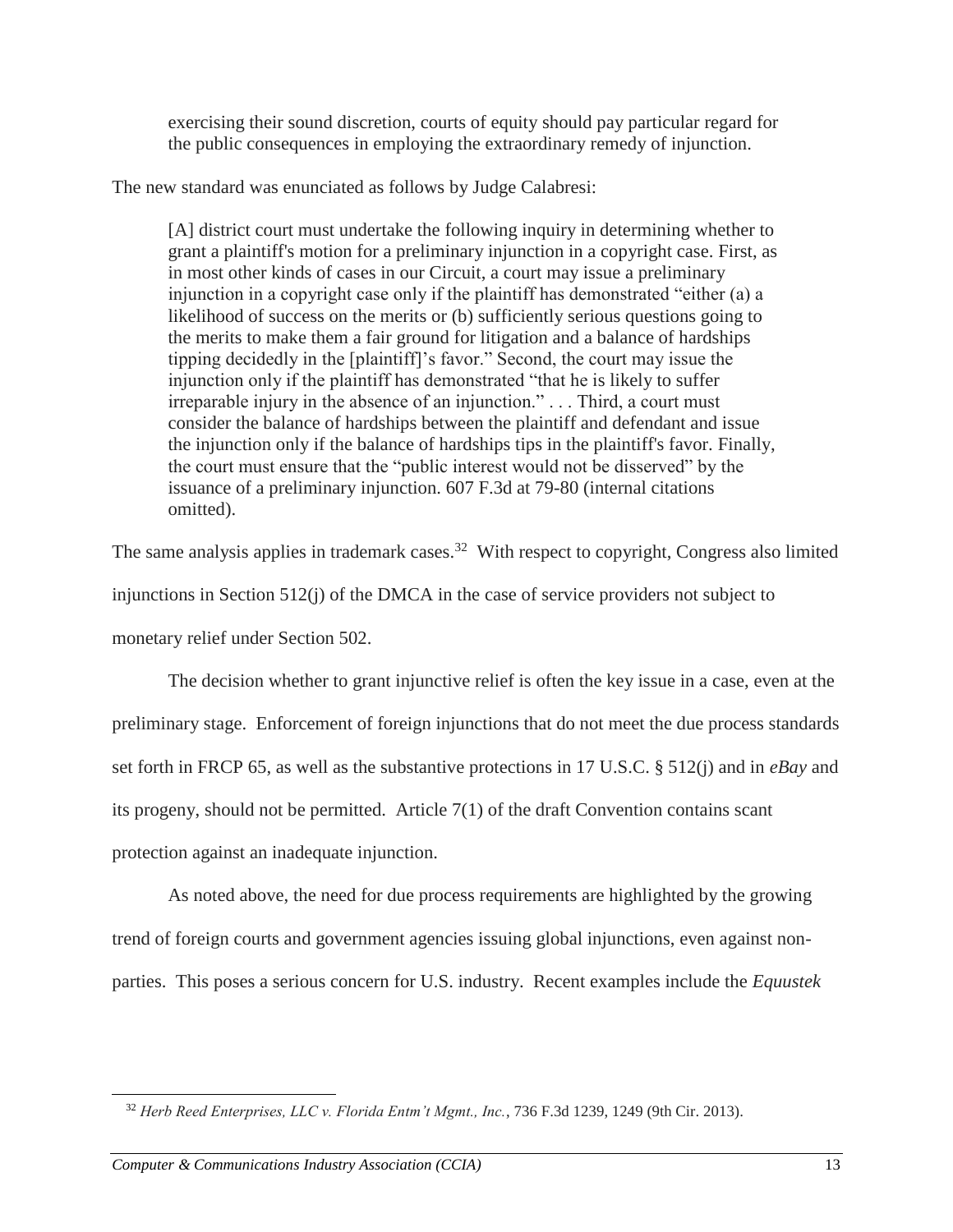exercising their sound discretion, courts of equity should pay particular regard for the public consequences in employing the extraordinary remedy of injunction.

The new standard was enunciated as follows by Judge Calabresi:

[A] district court must undertake the following inquiry in determining whether to grant a plaintiff's motion for a preliminary injunction in a copyright case. First, as in most other kinds of cases in our Circuit, a court may issue a preliminary injunction in a copyright case only if the plaintiff has demonstrated "either (a) a likelihood of success on the merits or (b) sufficiently serious questions going to the merits to make them a fair ground for litigation and a balance of hardships tipping decidedly in the [plaintiff]'s favor." Second, the court may issue the injunction only if the plaintiff has demonstrated "that he is likely to suffer irreparable injury in the absence of an injunction." . . . Third, a court must consider the balance of hardships between the plaintiff and defendant and issue the injunction only if the balance of hardships tips in the plaintiff's favor. Finally, the court must ensure that the "public interest would not be disserved" by the issuance of a preliminary injunction. 607 F.3d at 79-80 (internal citations omitted).

The same analysis applies in trademark cases.<sup>32</sup> With respect to copyright, Congress also limited

injunctions in Section 512(j) of the DMCA in the case of service providers not subject to

monetary relief under Section 502.

The decision whether to grant injunctive relief is often the key issue in a case, even at the preliminary stage. Enforcement of foreign injunctions that do not meet the due process standards set forth in FRCP 65, as well as the substantive protections in 17 U.S.C. § 512(j) and in *eBay* and its progeny, should not be permitted. Article 7(1) of the draft Convention contains scant protection against an inadequate injunction.

As noted above, the need for due process requirements are highlighted by the growing trend of foreign courts and government agencies issuing global injunctions, even against nonparties. This poses a serious concern for U.S. industry. Recent examples include the *Equustek*

<sup>32</sup> *Herb Reed Enterprises, LLC v. Florida Entm't Mgmt., Inc.*, 736 F.3d 1239, 1249 (9th Cir. 2013).